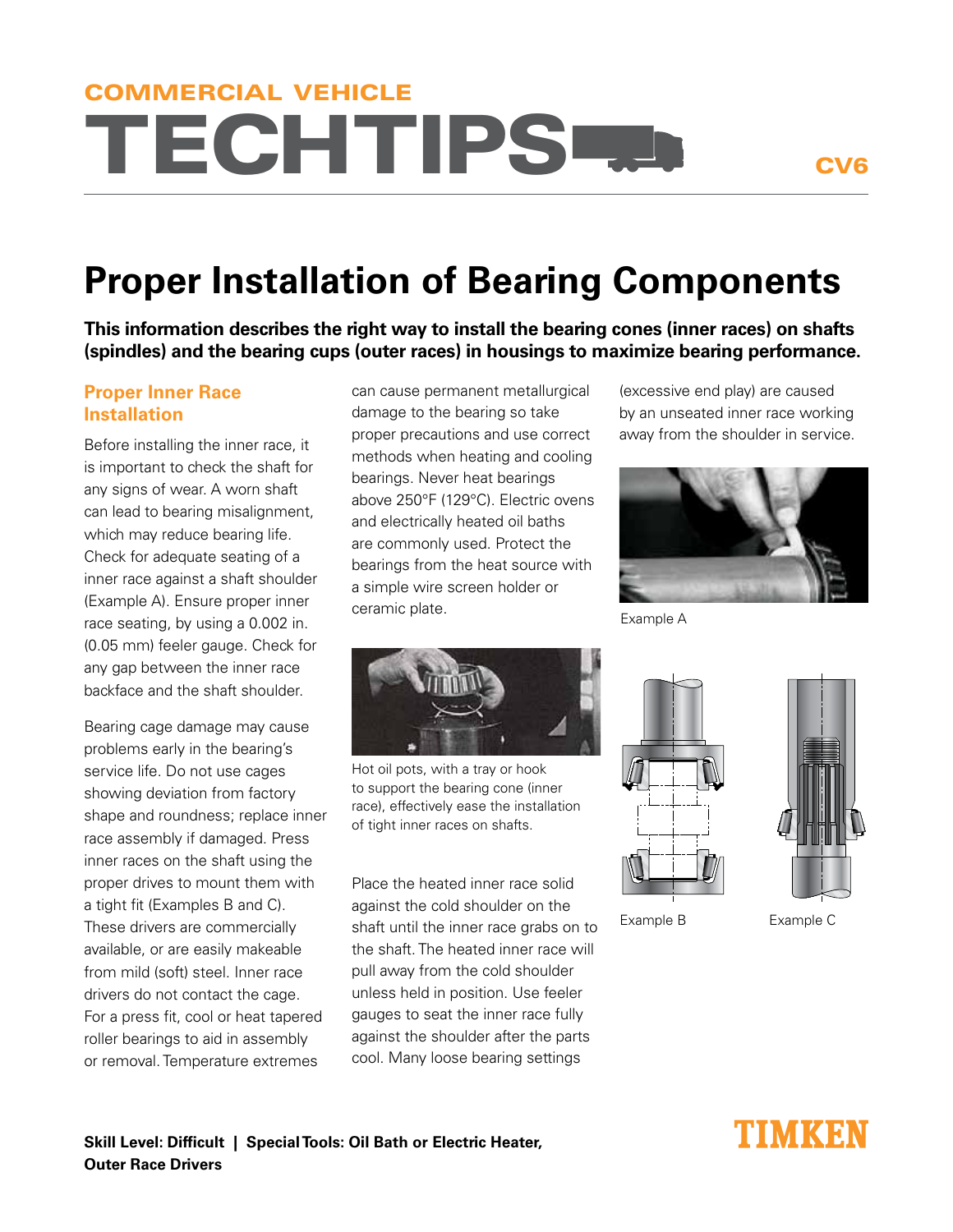# TECHTIPS COMMERCIAL VEHICLE

CV6

## **Proper Installation of Bearing Components**

**This information describes the right way to install the bearing cones (inner races) on shafts (spindles) and the bearing cups (outer races) in housings to maximize bearing performance.**

### **Proper Inner Race Installation**

Before installing the inner race, it is important to check the shaft for any signs of wear. A worn shaft can lead to bearing misalignment, which may reduce bearing life. Check for adequate seating of a inner race against a shaft shoulder (Example A). Ensure proper inner race seating, by using a 0.002 in. (0.05 mm) feeler gauge. Check for any gap between the inner race backface and the shaft shoulder.

Bearing cage damage may cause problems early in the bearing's service life. Do not use cages showing deviation from factory shape and roundness; replace inner race assembly if damaged. Press inner races on the shaft using the proper drives to mount them with a tight fit (Examples B and C). These drivers are commercially available, or are easily makeable from mild (soft) steel. Inner race drivers do not contact the cage. For a press fit, cool or heat tapered roller bearings to aid in assembly or removal. Temperature extremes

can cause permanent metallurgical damage to the bearing so take proper precautions and use correct methods when heating and cooling bearings. Never heat bearings above 250°F (129°C). Electric ovens and electrically heated oil baths are commonly used. Protect the bearings from the heat source with a simple wire screen holder or ceramic plate.



Hot oil pots, with a tray or hook to support the bearing cone (inner race), effectively ease the installation of tight inner races on shafts.

Place the heated inner race solid against the cold shoulder on the shaft until the inner race grabs on to the shaft. The heated inner race will pull away from the cold shoulder unless held in position. Use feeler gauges to seat the inner race fully against the shoulder after the parts cool. Many loose bearing settings

(excessive end play) are caused by an unseated inner race working away from the shoulder in service.



Example A





Example B Example C